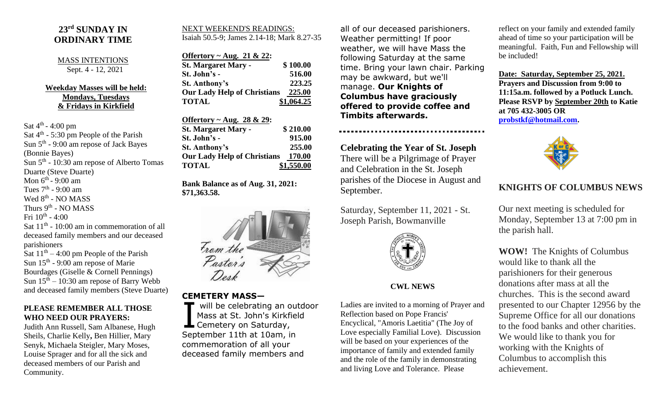## **23rd SUNDAY IN ORDINARY TIME**

#### MASS INTENTIONS Sept. 4 - 12, 2021

### **Weekday Masses will be held: Mondays, Tuesdays & Fridays in Kirkfield**

Sat  $4^{\text{th}}$  - 4:00 pm

Sat 4<sup>th</sup> - 5:30 pm People of the Parish Sun 5<sup>th</sup> - 9:00 am repose of Jack Bayes (Bonnie Bayes) Sun  $5<sup>th</sup>$  - 10:30 am repose of Alberto Tomas Duarte (Steve Duarte) Mon 6<sup>th</sup> - 9:00 am Tues  $7<sup>th</sup>$  - 9:00 am Wed 8<sup>th</sup> - NO MASS Thurs 9<sup>th</sup> - NO MASS Fri  $10^{\text{th}}$  - 4:00 Sat  $11<sup>th</sup>$  - 10:00 am in commemoration of all deceased family members and our deceased parishioners Sat  $11<sup>th</sup> - 4:00$  pm People of the Parish Sun  $15<sup>th</sup>$  - 9:00 am repose of Marie Bourdages (Giselle & Cornell Pennings) Sun  $15<sup>th</sup> - 10:30$  am repose of Barry Webb

### **PLEASE REMEMBER ALL THOSE WHO NEED OUR PRAYERS:**

and deceased family members (Steve Duarte)

Judith Ann Russell, Sam Albanese, Hugh Sheils, Charlie Kelly**,** Ben Hillier, Mary Senyk, Michaela Steigler, Mary Moses, Louise Sprager and for all the sick and deceased members of our Parish and Community.

#### NEXT WEEKEND'S READINGS: Isaiah 50.5-9; James 2.14-18; Mark 8.27-35

| Offertory ~ Aug. 21 & 22:          |            |
|------------------------------------|------------|
| <b>St. Margaret Mary -</b>         | \$100.00   |
| St. John's -                       | 516.00     |
| <b>St. Anthony's</b>               | 223.25     |
| <b>Our Lady Help of Christians</b> | 225.00     |
| <b>TOTAL</b>                       | \$1,064.25 |

| Offertory $\sim$ Aug. 28 & 29:     |            |
|------------------------------------|------------|
| <b>St. Margaret Mary -</b>         | \$210.00   |
| St. John's -                       | 915.00     |
| <b>St. Anthony's</b>               | 255.00     |
| <b>Our Lady Help of Christians</b> | 170.00     |
| <b>TOTAL</b>                       | \$1,550.00 |

**Bank Balance as of Aug. 31, 2021: \$71,363.58.**



## **CEMETERY MASS—**

will be celebrating an outdoor Mass at St. John's Kirkfield Will be celebrating an o<br>Mass at St. John's Kirkfi<br>Cemetery on Saturday, September 11th at 10am, in commemoration of all your deceased family members and

all of our deceased parishioners. Weather permitting! If poor weather, we will have Mass the following Saturday at the same time. Bring your lawn chair. Parking may be awkward, but we'll manage. **Our Knights of Columbus have graciously offered to provide coffee and Timbits afterwards.**

**Celebrating the Year of St. Joseph** There will be a Pilgrimage of Prayer and Celebration in the St. Joseph parishes of the Diocese in August and September.

Saturday, September 11, 2021 - St. Joseph Parish, Bowmanville



### **CWL NEWS**

Ladies are invited to a morning of Prayer and Reflection based on Pope Francis' Encyclical, "Amoris Laetitia" (The Joy of Love especially Familial Love). Discussion will be based on your experiences of the importance of family and extended family and the role of the family in demonstrating and living Love and Tolerance. Please

reflect on your family and extended family ahead of time so your participation will be meaningful. Faith, Fun and Fellowship will be included!

**Date: Saturday, September 25, 2021. Prayers and Discussion from 9:00 to 11:15a.m. followed by a Potluck Lunch. Please RSVP by September 20th to Katie at 705 432-3005 OR [probstkf@hotmail.com.](mailto:probstkf@hotmail.com)**



# **KNIGHTS OF COLUMBUS NEWS**

Our next meeting is scheduled for Monday, September 13 at 7:00 pm in the parish hall.

**WOW!** The Knights of Columbus would like to thank all the parishioners for their generous donations after mass at all the churches. This is the second award presented to our Chapter 12956 by the Supreme Office for all our donations to the food banks and other charities. We would like to thank you for working with the Knights of Columbus to accomplish this achievement.